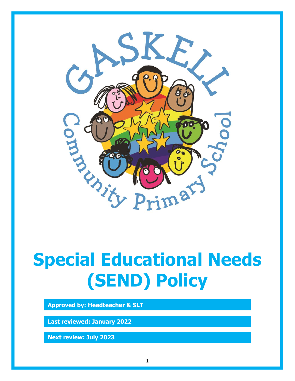

# **Special Educational Needs (SEND) Policy**

**Approved by: Headteacher & SLT**

**Last reviewed: January 2022**

**Next review: July 2023**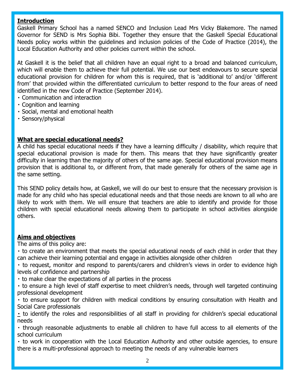# **Introduction**

Gaskell Primary School has a named SENCO and Inclusion Lead Mrs Vicky Blakemore. The named Governor for SEND is Mrs Sophia Bibi. Together they ensure that the Gaskell Special Educational Needs policy works within the guidelines and inclusion policies of the Code of Practice (2014), the Local Education Authority and other policies current within the school.

At Gaskell it is the belief that all children have an equal right to a broad and balanced curriculum, which will enable them to achieve their full potential. We use our best endeavours to secure special educational provision for children for whom this is required, that is 'additional to' and/or 'different from' that provided within the differentiated curriculum to better respond to the four areas of need identified in the new Code of Practice (September 2014).

- Communication and interaction
- Cognition and learning
- Social, mental and emotional health
- Sensory/physical

# **What are special educational needs?**

A child has special educational needs if they have a learning difficulty / disability, which require that special educational provision is made for them. This means that they have significantly greater difficulty in learning than the majority of others of the same age. Special educational provision means provision that is additional to, or different from, that made generally for others of the same age in the same setting.

This SEND policy details how, at Gaskell, we will do our best to ensure that the necessary provision is made for any child who has special educational needs and that those needs are known to all who are likely to work with them. We will ensure that teachers are able to identify and provide for those children with special educational needs allowing them to participate in school activities alongside others.

# **Aims and objectives**

The aims of this policy are:

to create an environment that meets the special educational needs of each child in order that they can achieve their learning potential and engage in activities alongside other children

to request, monitor and respond to parents/carers and children's views in order to evidence high levels of confidence and partnership

- to make clear the expectations of all parties in the process
- to ensure a high level of staff expertise to meet children's needs, through well targeted continuing professional development

to ensure support for children with medical conditions by ensuring consultation with Health and Social Care professionals

to identify the roles and responsibilities of all staff in providing for children's special educational needs

through reasonable adjustments to enable all children to have full access to all elements of the school curriculum

to work in cooperation with the Local Education Authority and other outside agencies, to ensure there is a multi-professional approach to meeting the needs of any vulnerable learners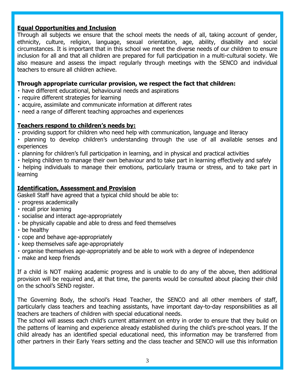# **Equal Opportunities and Inclusion**

Through all subjects we ensure that the school meets the needs of all, taking account of gender, ethnicity, culture, religion, language, sexual orientation, age, ability, disability and social circumstances. It is important that in this school we meet the diverse needs of our children to ensure inclusion for all and that all children are prepared for full participation in a multi-cultural society. We also measure and assess the impact regularly through meetings with the SENCO and individual teachers to ensure all children achieve.

# **Through appropriate curricular provision, we respect the fact that children:**

- have different educational, behavioural needs and aspirations
- · require different strategies for learning
- acquire, assimilate and communicate information at different rates
- need a range of different teaching approaches and experiences

# **Teachers respond to children's needs by:**

- providing support for children who need help with communication, language and literacy
- planning to develop children's understanding through the use of all available senses and experiences
- planning for children's full participation in learning, and in physical and practical activities
- helping children to manage their own behaviour and to take part in learning effectively and safely
- helping individuals to manage their emotions, particularly trauma or stress, and to take part in learning

# **Identification, Assessment and Provision**

Gaskell Staff have agreed that a typical child should be able to:

- progress academically
- · recall prior learning
- socialise and interact age-appropriately
- be physically capable and able to dress and feed themselves
- be healthy
- cope and behave age-appropriately
- · keep themselves safe age-appropriately
- organise themselves age-appropriately and be able to work with a degree of independence
- make and keep friends

If a child is NOT making academic progress and is unable to do any of the above, then additional provision will be required and, at that time, the parents would be consulted about placing their child on the school's SEND register.

The Governing Body, the school's Head Teacher, the SENCO and all other members of staff, particularly class teachers and teaching assistants, have important day-to-day responsibilities as all teachers are teachers of children with special educational needs.

The school will assess each child's current attainment on entry in order to ensure that they build on the patterns of learning and experience already established during the child's pre-school years. If the child already has an identified special educational need, this information may be transferred from other partners in their Early Years setting and the class teacher and SENCO will use this information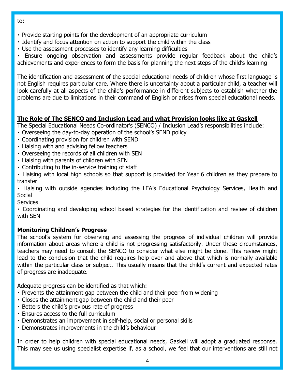- to:
- Provide starting points for the development of an appropriate curriculum
- I Identify and focus attention on action to support the child within the class
- Use the assessment processes to identify any learning difficulties

Ensure ongoing observation and assessments provide regular feedback about the child's achievements and experiences to form the basis for planning the next steps of the child's learning

The identification and assessment of the special educational needs of children whose first language is not English requires particular care. Where there is uncertainty about a particular child, a teacher will look carefully at all aspects of the child's performance in different subjects to establish whether the problems are due to limitations in their command of English or arises from special educational needs.

# **The Role of The SENCO and Inclusion Lead and what Provision looks like at Gaskell**

- The Special Educational Needs Co-ordinator's (SENCO) / Inclusion Lead's responsibilities include:
- Overseeing the day-to-day operation of the school's SEND policy
- Coordinating provision for children with SEND
- Liaising with and advising fellow teachers
- Overseeing the records of all children with SEN
- Liaising with parents of children with SEN
- Contributing to the in-service training of staff
- Liaising with local high schools so that support is provided for Year 6 children as they prepare to transfer

Liaising with outside agencies including the LEA's Educational Psychology Services, Health and Social

**Services** 

Coordinating and developing school based strategies for the identification and review of children with SEN

# **Monitoring Children's Progress**

The school's system for observing and assessing the progress of individual children will provide information about areas where a child is not progressing satisfactorily. Under these circumstances, teachers may need to consult the SENCO to consider what else might be done. This review might lead to the conclusion that the child requires help over and above that which is normally available within the particular class or subject. This usually means that the child's current and expected rates of progress are inadequate.

Adequate progress can be identified as that which:

- Prevents the attainment gap between the child and their peer from widening
- Closes the attainment gap between the child and their peer
- Betters the child's previous rate of progress
- Ensures access to the full curriculum
- Demonstrates an improvement in self-help, social or personal skills
- Demonstrates improvements in the child's behaviour

In order to help children with special educational needs, Gaskell will adopt a graduated response. This may see us using specialist expertise if, as a school, we feel that our interventions are still not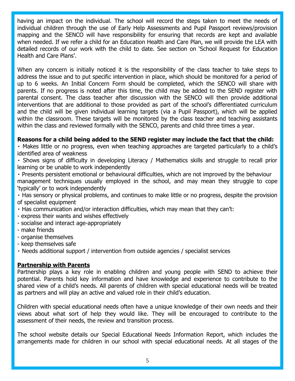having an impact on the individual. The school will record the steps taken to meet the needs of individual children through the use of Early Help Assessments and Pupil Passport reviews/provision mapping and the SENCO will have responsibility for ensuring that records are kept and available when needed. If we refer a child for an Education Health and Care Plan, we will provide the LEA with detailed records of our work with the child to date. See section on 'School Request for Education Health and Care Plans'.

When any concern is initially noticed it is the responsibility of the class teacher to take steps to address the issue and to put specific intervention in place, which should be monitored for a period of up to 6 weeks. An Initial Concern Form should be completed, which the SENCO will share with parents. If no progress is noted after this time, the child may be added to the SEND register with parental consent. The class teacher after discussion with the SENCO will then provide additional interventions that are additional to those provided as part of the school's differentiated curriculum and the child will be given individual learning targets (via a Pupil Passport), which will be applied within the classroom. These targets will be monitored by the class teacher and teaching assistants within the class and reviewed formally with the SENCO, parents and child three times a year.

# **Reasons for a child being added to the SEND register may include the fact that the child:**

Makes little or no progress, even when teaching approaches are targeted particularly to a child's identified area of weakness

Shows signs of difficulty in developing Literacy / Mathematics skills and struggle to recall prior learning or be unable to work independently

Presents persistent emotional or behavioural difficulties, which are not improved by the behaviour management techniques usually employed in the school, and may mean they struggle to cope 'typically' or to work independently

Has sensory or physical problems, and continues to make little or no progress, despite the provision of specialist equipment

- Has communication and/or interaction difficulties, which may mean that they can't:
- express their wants and wishes effectively
- socialise and interact age-appropriately
- make friends
- organise themselves
- keep themselves safe

Needs additional support / intervention from outside agencies / specialist services

#### **Partnership with Parents**

Partnership plays a key role in enabling children and young people with SEND to achieve their potential. Parents hold key information and have knowledge and experience to contribute to the shared view of a child's needs. All parents of children with special educational needs will be treated as partners and will play an active and valued role in their child's education.

Children with special educational needs often have a unique knowledge of their own needs and their views about what sort of help they would like. They will be encouraged to contribute to the assessment of their needs, the review and transition process.

The school website details our Special Educational Needs Information Report, which includes the arrangements made for children in our school with special educational needs. At all stages of the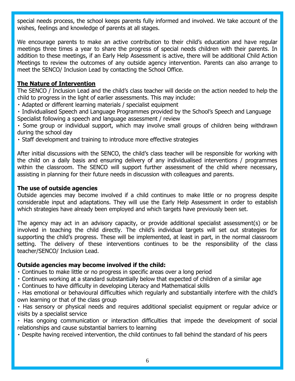special needs process, the school keeps parents fully informed and involved. We take account of the wishes, feelings and knowledge of parents at all stages.

We encourage parents to make an active contribution to their child's education and have regular meetings three times a year to share the progress of special needs children with their parents. In addition to these meetings, if an Early Help Assessment is active, there will be additional Child Action Meetings to review the outcomes of any outside agency intervention. Parents can also arrange to meet the SENCO/ Inclusion Lead by contacting the School Office.

# **The Nature of Intervention**

The SENCO / Inclusion Lead and the child's class teacher will decide on the action needed to help the child to progress in the light of earlier assessments. This may include:

Adapted or different learning materials / specialist equipment

Individualised Speech and Language Programmes provided by the School's Speech and Language Specialist following a speech and language assessment / review

Some group or individual support, which may involve small groups of children being withdrawn during the school day

Staff development and training to introduce more effective strategies

After initial discussions with the SENCO, the child's class teacher will be responsible for working with the child on a daily basis and ensuring delivery of any individualised interventions / programmes within the classroom. The SENCO will support further assessment of the child where necessary, assisting in planning for their future needs in discussion with colleagues and parents.

#### **The use of outside agencies**

Outside agencies may become involved if a child continues to make little or no progress despite considerable input and adaptations. They will use the Early Help Assessment in order to establish which strategies have already been employed and which targets have previously been set.

The agency may act in an advisory capacity, or provide additional specialist assessment(s) or be involved in teaching the child directly. The child's individual targets will set out strategies for supporting the child's progress. These will be implemented, at least in part, in the normal classroom setting. The delivery of these interventions continues to be the responsibility of the class teacher/SENCO/ Inclusion Lead.

# **Outside agencies may become involved if the child:**

- Continues to make little or no progress in specific areas over a long period
- Continues working at a standard substantially below that expected of children of a similar age
- Continues to have difficulty in developing Literacy and Mathematical skills

Has emotional or behavioural difficulties which regularly and substantially interfere with the child's own learning or that of the class group

Has sensory or physical needs and requires additional specialist equipment or regular advice or visits by a specialist service

Has ongoing communication or interaction difficulties that impede the development of social relationships and cause substantial barriers to learning

Despite having received intervention, the child continues to fall behind the standard of his peers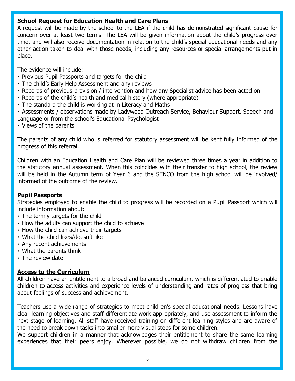# **School Request for Education Health and Care Plans**

A request will be made by the school to the LEA if the child has demonstrated significant cause for concern over at least two terms. The LEA will be given information about the child's progress over time, and will also receive documentation in relation to the child's special educational needs and any other action taken to deal with those needs, including any resources or special arrangements put in place.

The evidence will include:

- Previous Pupil Passports and targets for the child
- The child's Early Help Assessment and any reviews
- Records of previous provision / intervention and how any Specialist advice has been acted on
- Records of the child's health and medical history (where appropriate)
- The standard the child is working at in Literacy and Maths
- Assessments / observations made by Ladywood Outreach Service, Behaviour Support, Speech and Language or from the school's Educational Psychologist
- Views of the parents

The parents of any child who is referred for statutory assessment will be kept fully informed of the progress of this referral.

Children with an Education Health and Care Plan will be reviewed three times a year in addition to the statutory annual assessment. When this coincides with their transfer to high school, the review will be held in the Autumn term of Year 6 and the SENCO from the high school will be involved/ informed of the outcome of the review.

# **Pupil Passports**

Strategies employed to enable the child to progress will be recorded on a Pupil Passport which will include information about:

- The termly targets for the child
- How the adults can support the child to achieve
- . How the child can achieve their targets
- What the child likes/doesn't like
- Any recent achievements
- What the parents think
- The review date

# **Access to the Curriculum**

All children have an entitlement to a broad and balanced curriculum, which is differentiated to enable children to access activities and experience levels of understanding and rates of progress that bring about feelings of success and achievement.

Teachers use a wide range of strategies to meet children's special educational needs. Lessons have clear learning objectives and staff differentiate work appropriately, and use assessment to inform the next stage of learning. All staff have received training on different learning styles and are aware of the need to break down tasks into smaller more visual steps for some children.

We support children in a manner that acknowledges their entitlement to share the same learning experiences that their peers enjoy. Wherever possible, we do not withdraw children from the